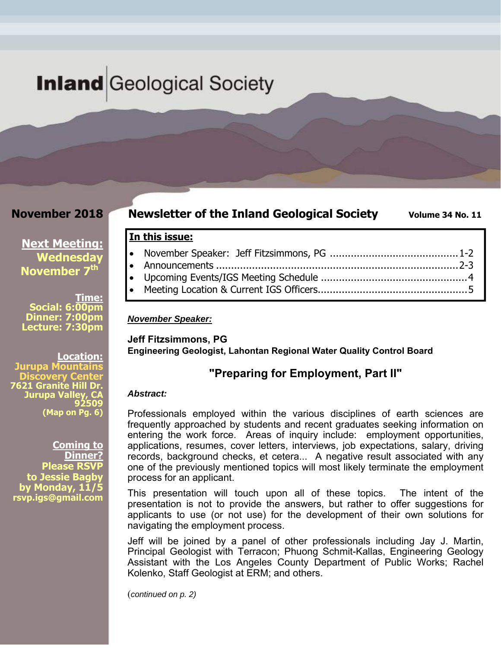# **Inland** Geological Society

### **November 2018**

**Newsletter of the Inland Geological Society** Volume 34 No. 11

### **In this issue:**

#### *November Speaker:*

**Jeff Fitzsimmons, PG Engineering Geologist, Lahontan Regional Water Quality Control Board** 

### **"Preparing for Employment, Part II"**

#### *Abstract:*

Professionals employed within the various disciplines of earth sciences are frequently approached by students and recent graduates seeking information on entering the work force. Areas of inquiry include: employment opportunities, applications, resumes, cover letters, interviews, job expectations, salary, driving records, background checks, et cetera... A negative result associated with any one of the previously mentioned topics will most likely terminate the employment process for an applicant.

This presentation will touch upon all of these topics. The intent of the presentation is not to provide the answers, but rather to offer suggestions for applicants to use (or not use) for the development of their own solutions for navigating the employment process.

Jeff will be joined by a panel of other professionals including Jay J. Martin, Principal Geologist with Terracon; Phuong Schmit-Kallas, Engineering Geology Assistant with the Los Angeles County Department of Public Works; Rachel Kolenko, Staff Geologist at ERM; and others.

(*continued on p. 2)*

**Location: Jurupa Mountains Discovery Center 7621 Granite Hill Dr. Jurupa Valley, CA 92509** 

**(Map on Pg. 6)**

**Coming to Dinner? Please RSVP to Jessie Bagby by Monday, 11/5 rsvp.igs@gmail.com** 

**Next Meeting: Wednesday November 7<sup>th</sup>** 

**Social: 6:00pm Dinner: 7:00pm Lecture: 7:30pm** 

**Time:**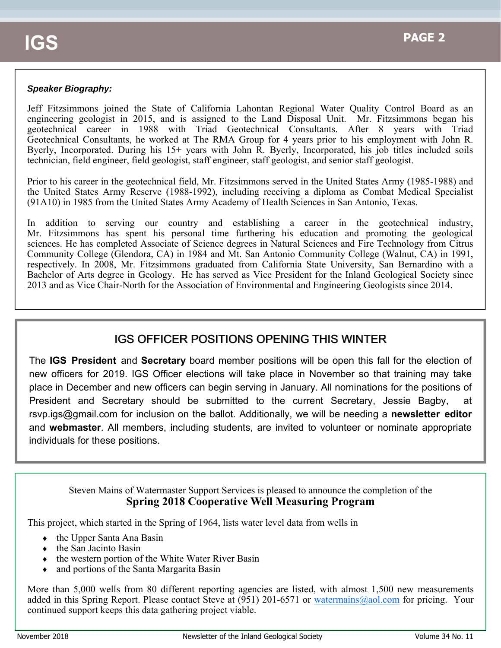#### *Speaker Biography:*

Jeff Fitzsimmons joined the State of California Lahontan Regional Water Quality Control Board as an engineering geologist in 2015, and is assigned to the Land Disposal Unit. Mr. Fitzsimmons began his geotechnical career in 1988 with Triad Geotechnical Consultants. After 8 years with Triad Geotechnical Consultants, he worked at The RMA Group for 4 years prior to his employment with John R. Byerly, Incorporated. During his 15+ years with John R. Byerly, Incorporated, his job titles included soils technician, field engineer, field geologist, staff engineer, staff geologist, and senior staff geologist.

Prior to his career in the geotechnical field, Mr. Fitzsimmons served in the United States Army (1985-1988) and the United States Army Reserve (1988-1992), including receiving a diploma as Combat Medical Specialist (91A10) in 1985 from the United States Army Academy of Health Sciences in San Antonio, Texas.

In addition to serving our country and establishing a career in the geotechnical industry, Mr. Fitzsimmons has spent his personal time furthering his education and promoting the geological sciences. He has completed Associate of Science degrees in Natural Sciences and Fire Technology from Citrus Community College (Glendora, CA) in 1984 and Mt. San Antonio Community College (Walnut, CA) in 1991, respectively. In 2008, Mr. Fitzsimmons graduated from California State University, San Bernardino with a Bachelor of Arts degree in Geology. He has served as Vice President for the Inland Geological Society since 2013 and as Vice Chair-North for the Association of Environmental and Engineering Geologists since 2014.

### **IGS OFFICER POSITIONS OPENING THIS WINTER**

The **IGS President** and **Secretary** board member positions will be open this fall for the election of new officers for 2019. IGS Officer elections will take place in November so that training may take place in December and new officers can begin serving in January. All nominations for the positions of President and Secretary should be submitted to the current Secretary, Jessie Bagby, at rsvp.igs@gmail.com for inclusion on the ballot. Additionally, we will be needing a **newsletter editor**  and **webmaster**. All members, including students, are invited to volunteer or nominate appropriate individuals for these positions.

### Steven Mains of Watermaster Support Services is pleased to announce the completion of the **Spring 2018 Cooperative Well Measuring Program**

This project, which started in the Spring of 1964, lists water level data from wells in

- the Upper Santa Ana Basin
- the San Jacinto Basin
- $\bullet$  the western portion of the White Water River Basin
- and portions of the Santa Margarita Basin

More than 5,000 wells from 80 different reporting agencies are listed, with almost 1,500 new measurements added in this Spring Report. Please contact Steve at (951) 201-6571 or watermains@aol.com for pricing. Your continued support keeps this data gathering project viable.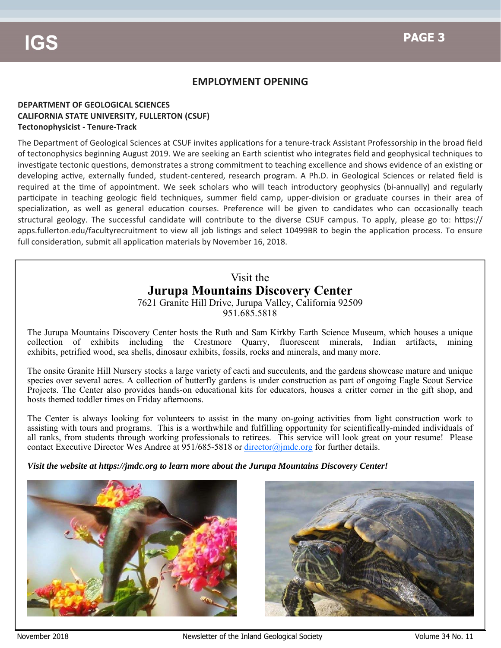### **EMPLOYMENT OPENING**

#### **DEPARTMENT OF GEOLOGICAL SCIENCES CALIFORNIA STATE UNIVERSITY, FULLERTON (CSUF) Tectonophysicist ‐ Tenure‐Track**

The Department of Geological Sciences at CSUF invites applications for a tenure-track Assistant Professorship in the broad field of tectonophysics beginning August 2019. We are seeking an Earth scientist who integrates field and geophysical techniques to investigate tectonic questions, demonstrates a strong commitment to teaching excellence and shows evidence of an existing or developing active, externally funded, student-centered, research program. A Ph.D. in Geological Sciences or related field is required at the time of appointment. We seek scholars who will teach introductory geophysics (bi-annually) and regularly participate in teaching geologic field techniques, summer field camp, upper-division or graduate courses in their area of specialization, as well as general education courses. Preference will be given to candidates who can occasionally teach structural geology. The successful candidate will contribute to the diverse CSUF campus. To apply, please go to: https:// apps.fullerton.edu/facultyrecruitment to view all job listings and select 10499BR to begin the application process. To ensure full consideration, submit all application materials by November 16, 2018.

## Visit the **Jurupa Mountains Discovery Center**

7621 Granite Hill Drive, Jurupa Valley, California 92509 951.685.5818

The Jurupa Mountains Discovery Center hosts the Ruth and Sam Kirkby Earth Science Museum, which houses a unique collection of exhibits including the Crestmore Quarry, fluorescent minerals, Indian artifacts, mining exhibits, petrified wood, sea shells, dinosaur exhibits, fossils, rocks and minerals, and many more.

The onsite Granite Hill Nursery stocks a large variety of cacti and succulents, and the gardens showcase mature and unique species over several acres. A collection of butterfly gardens is under construction as part of ongoing Eagle Scout Service Projects. The Center also provides hands-on educational kits for educators, houses a critter corner in the gift shop, and hosts themed toddler times on Friday afternoons.

The Center is always looking for volunteers to assist in the many on-going activities from light construction work to assisting with tours and programs. This is a worthwhile and fulfilling opportunity for scientifically-minded individuals of all ranks, from students through working professionals to retirees. This service will look great on your resume! Please contact Executive Director Wes Andree at 951/685-5818 or director@jmdc.org for further details.

*Visit the website at https://jmdc.org to learn more about the Jurupa Mountains Discovery Center!*



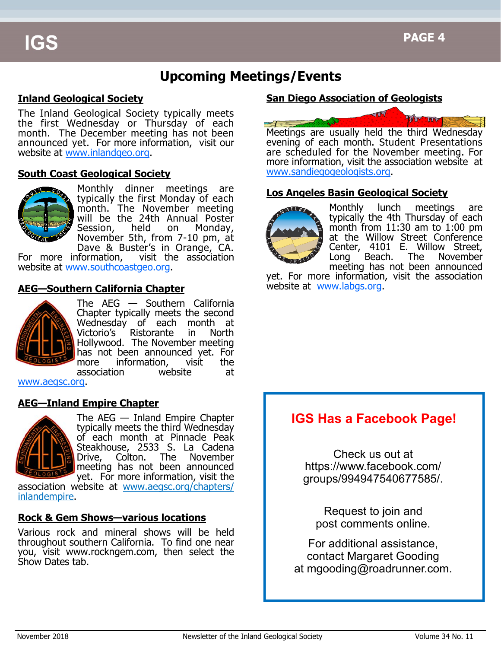# **Upcoming Meetings/Events**

### **Inland Geological Society**

The Inland Geological Society typically meets the first Wednesday or Thursday of each month. The December meeting has not been announced yet. For more information, visit our website at www.inlandgeo.org.

#### **South Coast Geological Society**



Monthly dinner meetings are typically the first Monday of each month. The November meeting will be the 24th Annual Poster Session, held on Monday, November 5th, from 7-10 pm, at Dave & Buster's in Orange, CA.

For more information, visit the association website at www.southcoastgeo.org.

### **AEG—Southern California Chapter**



The AEG — Southern California Chapter typically meets the second Wednesday of each month at Victorio's Ristorante in North Hollywood. The November meeting has not been announced yet. For more information, visit the association website at

www.aegsc.org.

#### **AEG—Inland Empire Chapter**



The AEG — Inland Empire Chapter typically meets the third Wednesday of each month at Pinnacle Peak Steakhouse, 2533 S. La Cadena Drive, Colton. The November meeting has not been announced yet. For more information, visit the

association website at www.aegsc.org/chapters/ inlandempire.

#### **Rock & Gem Shows—various locations**

Various rock and mineral shows will be held throughout southern California. To find one near you, visit www.rockngem.com, then select the Show Dates tab.

### **San Diego Association of Geologists**



Meetings are usually held the third Wednesday evening of each month. Student Presentations are scheduled for the November meeting. For more information, visit the association website at www.sandiegogeologists.org.

#### **Los Angeles Basin Geological Society**



Monthly lunch meetings are typically the 4th Thursday of each month from 11:30 am to 1:00 pm at the Willow Street Conference Center, 4101 E. Willow Street, Long Beach. The November meeting has not been announced

yet. For more information, visit the association website at www.labgs.org.

# **IGS Has a Facebook Page!**

Check us out at https://www.facebook.com/ groups/994947540677585/.

Request to join and post comments online.

For additional assistance, contact Margaret Gooding at mgooding@roadrunner.com.